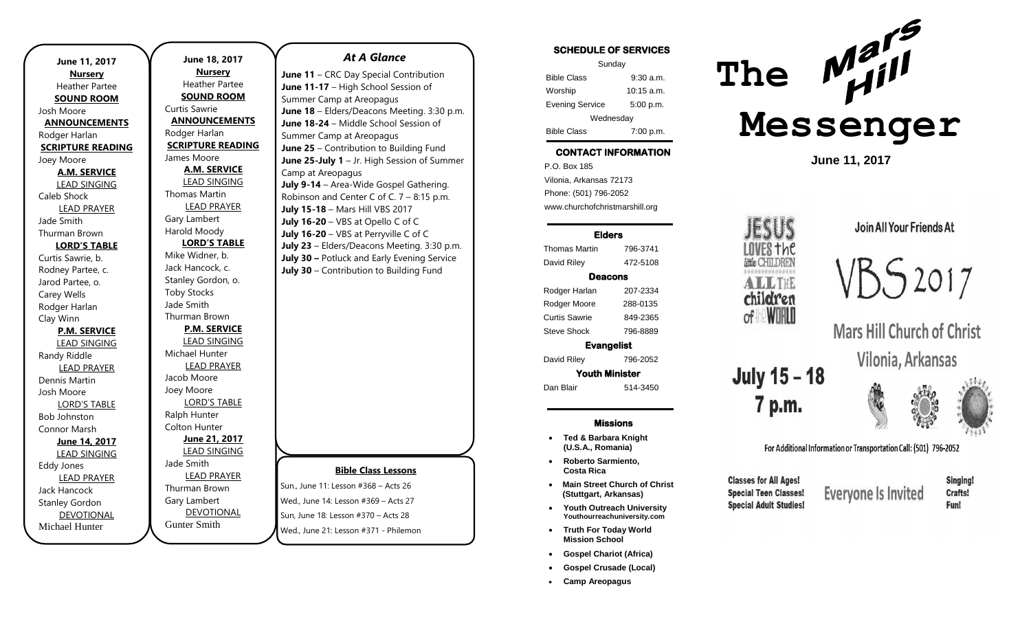| June 11, 2017                              |  |  |
|--------------------------------------------|--|--|
| <b>Nursery</b><br>Heather Partee           |  |  |
|                                            |  |  |
| <b>SOUND ROOM</b>                          |  |  |
| Josh Moore                                 |  |  |
| <b>ANNOUNCEMENTS</b>                       |  |  |
| Rodger Harlan                              |  |  |
| <b>SCRIPTURE READING</b>                   |  |  |
| Joey Moore                                 |  |  |
| <b>A.M. SERVICE</b><br><b>LEAD SINGING</b> |  |  |
| Caleb Shock                                |  |  |
|                                            |  |  |
| <b>LEAD PRAYER</b><br>Jade Smith           |  |  |
|                                            |  |  |
| Thurman Brown                              |  |  |
| <b>LORD'S TABLE</b>                        |  |  |
| Curtis Sawrie, b.                          |  |  |
| Rodney Partee, c.                          |  |  |
| Jarod Partee, o.                           |  |  |
| Carey Wells                                |  |  |
| Rodger Harlan                              |  |  |
| Clay Winn                                  |  |  |
| <b>P.M. SERVICE</b>                        |  |  |
| <b>LEAD SINGING</b>                        |  |  |
| Randy Riddle                               |  |  |
| <b>LEAD PRAYER</b>                         |  |  |
| Dennis Martin                              |  |  |
| Josh Moore                                 |  |  |
| <b>LORD'S TABLE</b>                        |  |  |
| <b>Bob Johnston</b>                        |  |  |
| Connor Marsh                               |  |  |
| June 14, 2017                              |  |  |
| <b>LEAD SINGING</b>                        |  |  |
| Eddy Jones                                 |  |  |
| <b>LEAD PRAYER</b>                         |  |  |
| Jack Hancock                               |  |  |
| <b>Stanley Gordon</b>                      |  |  |
| <b>DEVOTIONAL</b>                          |  |  |
| Michael Hunter                             |  |  |

n

| June $11 - C$        |  |
|----------------------|--|
| <b>June 11-17</b>    |  |
| Summer Car           |  |
| June 18 - E          |  |
| <b>June 18-24</b>    |  |
| Summer Car           |  |
| June 25 - C          |  |
| June 25-Jul          |  |
| Camp at Are          |  |
| July 9-14 -          |  |
| Robinson ar          |  |
| <b>July 15-18 -</b>  |  |
| <b>July 16-20</b>    |  |
| <b>July 16-20</b>    |  |
| <b>July 23 - Eld</b> |  |
| <b>July 30 - Po</b>  |  |
| July $30 - C$        |  |
|                      |  |
|                      |  |
|                      |  |
|                      |  |
|                      |  |
|                      |  |
|                      |  |
|                      |  |
|                      |  |
|                      |  |
|                      |  |
|                      |  |
|                      |  |
|                      |  |
|                      |  |
|                      |  |
| Sun., June 11:       |  |
| Wed., June 14        |  |
|                      |  |
| Sun, June 18:        |  |
|                      |  |

 $\overline{\phantom{a}}$ 

#### *At A Glance*

**JRC Day Special Contribution - High School Session of** mp at Areopagus Iders/Deacons Meeting. 3:30 p.m. **June 18-24** – Middle School Session of mp at Areopagus **June 25 Line 25 Line 25 Line 25 Line 2015 Iv 1** – Jr. High Session of Summer eopagus Area-Wide Gospel Gathering. nd Center C of C.  $7 - 8:15$  p.m. **July 15-18** – Mars Hill VBS 2017 **July 16-20** – VBS at Opello C of C **July 16-20** – VBS at Perryville C of C ders/Deacons Meeting. 3:30 p.m. *<u>A</u>* July Evening Service ontribution to Building Fund

## **Bible Class Lessons**

Lesson  $#368 -$  Acts 26 l: Lesson #369 – Acts 27  $Iseson #370 - Arts 28$ Wed., June 21: Lesson #371 - Philemon

 $\overline{\phantom{a}}$  ,  $\overline{\phantom{a}}$  ,  $\overline{\phantom{a}}$  ,  $\overline{\phantom{a}}$  ,  $\overline{\phantom{a}}$  ,  $\overline{\phantom{a}}$  ,  $\overline{\phantom{a}}$  ,  $\overline{\phantom{a}}$  ,  $\overline{\phantom{a}}$  ,  $\overline{\phantom{a}}$  ,  $\overline{\phantom{a}}$  ,  $\overline{\phantom{a}}$  ,  $\overline{\phantom{a}}$  ,  $\overline{\phantom{a}}$  ,  $\overline{\phantom{a}}$  ,  $\overline{\phantom{a}}$ 

### SCHEDULE OF SERVICES

| Sunday                 |              |  |
|------------------------|--------------|--|
| <b>Bible Class</b>     | $9:30$ a.m.  |  |
| Worship                | $10:15$ a.m. |  |
| <b>Evening Service</b> | 5:00 p.m.    |  |
| Wednesday              |              |  |
| <b>Bible Class</b>     | 7:00 p.m.    |  |

### CONTACT INFORMATION

. .o. Box 166<br>Vilonia, Arkansas 72173 P.O. Box 185 Phone: (501) 796-2052 www.churchofchristmarshill.org

#### Elders

Thomas Martin 796-3741 David Riley 472-5108 Deacons Rodger Harlan 207-2334 Rodger Moore 288-0135

Curtis Sawrie 849-2365 Steve Shock 796-8889

Evangelist

David Riley 796-2052

Youth Minister Dan Blair 514-3450

#### Missions

- **Ted & Barbara Knight (U.S.A., Romania)**
- **Roberto Sarmiento, Costa Rica**
- **Main Street Church of Christ (Stuttgart, Arkansas)**
- **Youth Outreach University Youthourreachuniversity.com**
- **Truth For Today World Mission School**
- **Gospel Chariot (Africa)**
- **Gospel Crusade (Local)**
- **Camp Areopagus**



LOVES †hC little CHILDREN

............... ALLINE children of **WIRLD** 

**July 15 - 18** 

7 p.m.

**Classes for All Ages!** 

**Special Teen Classes!** 

**Special Adult Studies!** 

**June 11, 2017**

Join All Your Friends At



**Mars Hill Church of Christ** Vilonia, Arkansas





For Additional Information or Transportation Call: (501) 796-2052

Singing! **Crafts!** Fun!

**Everyone Is Invited**